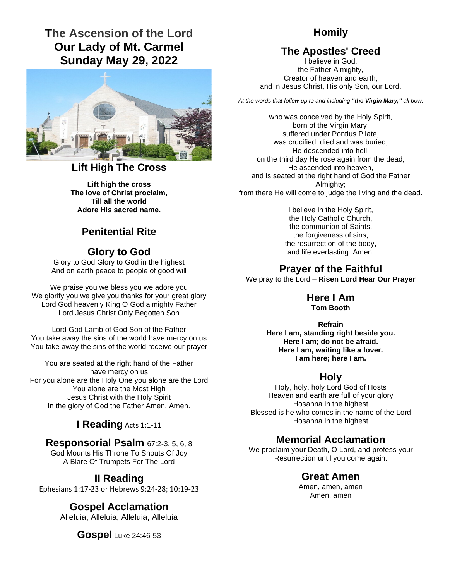# **The Ascension of the Lord Our Lady of Mt. Carmel Sunday May 29, 2022**



### **Lift High The Cross**

**Lift high the cross The love of Christ proclaim, Till all the world Adore His sacred name.** 

# **Penitential Rite**

### **Glory to God**

Glory to God Glory to God in the highest And on earth peace to people of good will

We praise you we bless you we adore you We glorify you we give you thanks for your great glory Lord God heavenly King O God almighty Father Lord Jesus Christ Only Begotten Son

Lord God Lamb of God Son of the Father You take away the sins of the world have mercy on us You take away the sins of the world receive our prayer

You are seated at the right hand of the Father have mercy on us For you alone are the Holy One you alone are the Lord You alone are the Most High Jesus Christ with the Holy Spirit In the glory of God the Father Amen, Amen.

## **I Reading** Acts 1:1-11

### **Responsorial Psalm** 67:2-3, 5, 6, 8

God Mounts His Throne To Shouts Of Joy A Blare Of Trumpets For The Lord

# **II Reading**

Ephesians 1:17-23 or Hebrews 9:24-28; 10:19-23

#### **Gospel Acclamation**

Alleluia, Alleluia, Alleluia, Alleluia

**Gospel** Luke 24:46-53

# **Homily**

# **The Apostles' Creed**

I believe in God, the Father Almighty, Creator of heaven and earth, and in Jesus Christ, His only Son, our Lord,

*At the words that follow up to and including "the Virgin Mary," all bow.* 

who was conceived by the Holy Spirit, born of the Virgin Mary, suffered under Pontius Pilate, was crucified, died and was buried; He descended into hell; on the third day He rose again from the dead; He ascended into heaven, and is seated at the right hand of God the Father Almighty: from there He will come to judge the living and the dead.

> I believe in the Holy Spirit, the Holy Catholic Church, the communion of Saints, the forgiveness of sins, the resurrection of the body, and life everlasting. Amen.

# **Prayer of the Faithful**

We pray to the Lord – **Risen Lord Hear Our Prayer** 

# **Here I Am**

**Tom Booth** 

**Refrain Here I am, standing right beside you. Here I am; do not be afraid. Here I am, waiting like a lover. I am here; here I am.** 

#### **Holy**

Holy, holy, holy Lord God of Hosts Heaven and earth are full of your glory Hosanna in the highest Blessed is he who comes in the name of the Lord Hosanna in the highest

# **Memorial Acclamation**

We proclaim your Death, O Lord, and profess your Resurrection until you come again.

### **Great Amen**

Amen, amen, amen Amen, amen